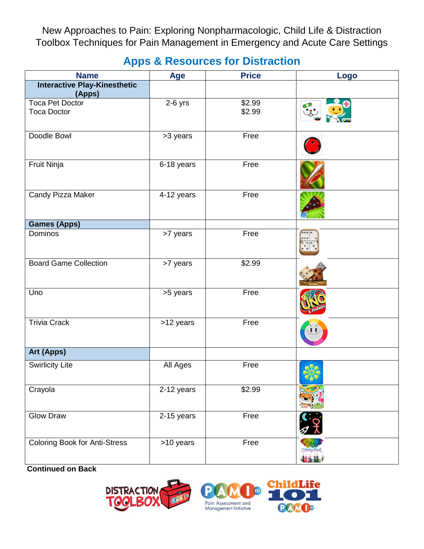New Approaches to Pain: Exploring Nonpharmacologic, Child Life & Distraction Toolbox Techniques for Pain Management in Emergency and Acute Care Settings

## **Apps & Resources for Distraction**

| <b>Name</b>                                  | Age        | <b>Price</b>     | Logo |
|----------------------------------------------|------------|------------------|------|
| <b>Interactive Play-Kinesthetic</b>          |            |                  |      |
| (Apps)                                       |            |                  |      |
| <b>Toca Pet Doctor</b><br><b>Toca Doctor</b> | $2-6$ yrs  | \$2.99<br>\$2.99 |      |
|                                              |            |                  |      |
| Doodle Bowl                                  | >3 years   | Free             |      |
|                                              |            |                  |      |
| Fruit Ninja                                  | 6-18 years | Free             |      |
|                                              |            |                  |      |
| Candy Pizza Maker                            | 4-12 years | Free             |      |
|                                              |            |                  |      |
| <b>Games (Apps)</b>                          |            |                  |      |
| Dominos                                      | >7 years   | Free             | 0001 |
|                                              |            |                  |      |
| <b>Board Game Collection</b>                 | >7 years   | \$2.99           |      |
|                                              |            |                  |      |
| Uno                                          | >5 years   | Free             |      |
|                                              |            |                  |      |
| <b>Trivia Crack</b>                          | >12 years  | Free             |      |
|                                              |            |                  |      |
| Art (Apps)                                   |            |                  |      |
| <b>Swirlicity Lite</b>                       | All Ages   | Free             |      |
|                                              |            |                  |      |
| Crayola                                      | 2-12 years | \$2.99           |      |
|                                              |            |                  |      |
| <b>Glow Draw</b>                             | 2-15 years | Free             |      |
|                                              |            |                  |      |
| <b>Coloring Book for Anti-Stress</b>         | >10 years  | Free             |      |
|                                              |            |                  |      |

**Continued on Back**





ie